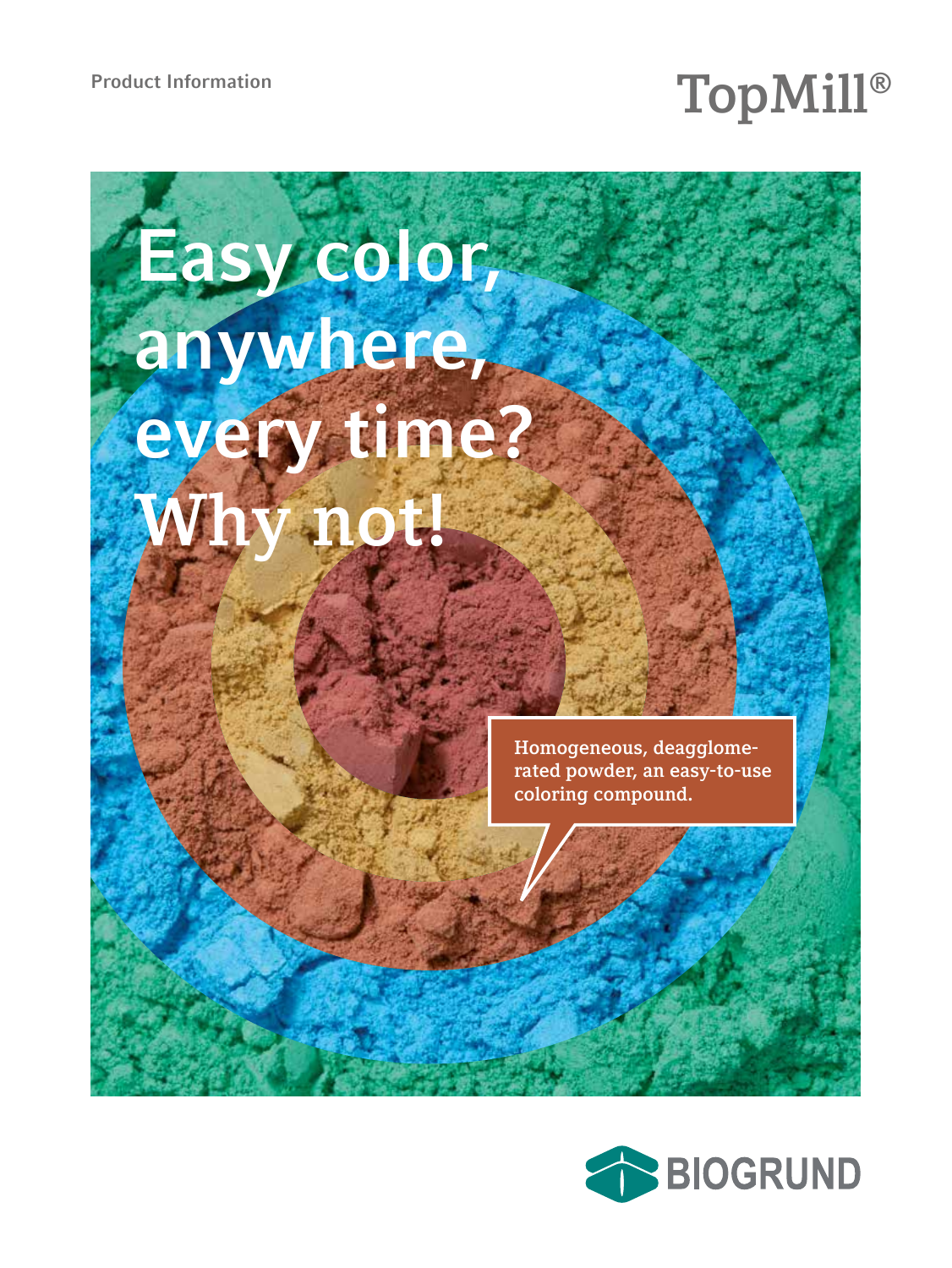# Product Information<br>**Product Information**

# **Easy color, anywhere, every time? Why not!**

**Homogeneous, deagglomerated powder, an easy-to-use coloring compound.**